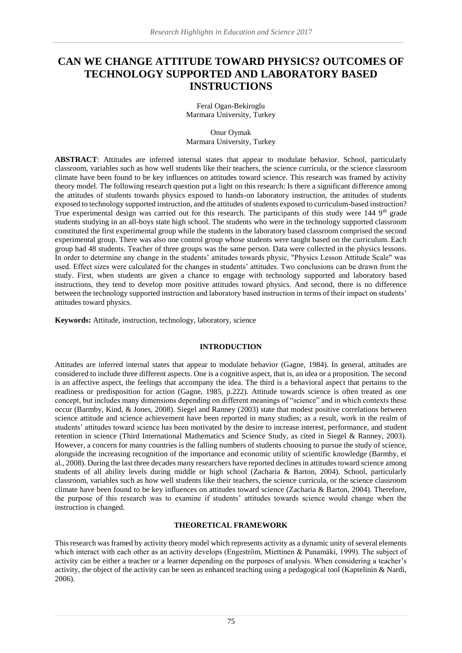# **CAN WE CHANGE ATTITUDE TOWARD PHYSICS? OUTCOMES OF TECHNOLOGY SUPPORTED AND LABORATORY BASED INSTRUCTIONS**

Feral Ogan-Bekiroglu Marmara University, Turkey

Onur Oymak Marmara University, Turkey

**ABSTRACT**: Attitudes are inferred internal states that appear to modulate behavior. School, particularly classroom, variables such as how well students like their teachers, the science curricula, or the science classroom climate have been found to be key influences on attitudes toward science. This research was framed by activity theory model. The following research question put a light on this research: Is there a significant difference among the attitudes of students towards physics exposed to hands-on laboratory instruction, the attitudes of students exposed to technology supported instruction, and the attitudes of students exposed to curriculum-based instruction? True experimental design was carried out for this research. The participants of this study were 144 9<sup>th</sup> grade students studying in an all-boys state high school. The students who were in the technology supported classroom constituted the first experimental group while the students in the laboratory based classroom comprised the second experimental group. There was also one control group whose students were taught based on the curriculum. Each group had 48 students. Teacher of three groups was the same person. Data were collected in the physics lessons. In order to determine any change in the students' attitudes towards physic, "Physics Lesson Attitude Scale" was used. Effect sizes were calculated for the changes in students' attitudes. Two conclusions can be drawn from the study. First, when students are given a chance to engage with technology supported and laboratory based instructions, they tend to develop more positive attitudes toward physics. And second, there is no difference between the technology supported instruction and laboratory based instruction in terms of their impact on students' attitudes toward physics.

**Keywords:** Attitude, instruction, technology, laboratory, science

#### **INTRODUCTION**

Attitudes are inferred internal states that appear to modulate behavior (Gagne, 1984). In general, attitudes are considered to include three different aspects. One is a cognitive aspect, that is, an idea or a proposition. The second is an affective aspect, the feelings that accompany the idea. The third is a behavioral aspect that pertains to the readiness or predisposition for action (Gagne, 1985, p.222). Attitude towards science is often treated as one concept, but includes many dimensions depending on different meanings of "science" and in which contexts these occur (Barmby, Kind, & Jones, 2008). Siegel and Ranney (2003) state that modest positive correlations between science attitude and science achievement have been reported in many studies; as a result, work in the realm of students' attitudes toward science has been motivated by the desire to increase interest, performance, and student retention in science (Third International Mathematics and Science Study, as cited in Siegel & Ranney, 2003). However, a concern for many countries is the falling numbers of students choosing to pursue the study of science, alongside the increasing recognition of the importance and economic utility of scientific knowledge (Barmby, et al., 2008). During the last three decades many researchers have reported declines in attitudes toward science among students of all ability levels during middle or high school (Zacharia & Barton, 2004). School, particularly classroom, variables such as how well students like their teachers, the science curricula, or the science classroom climate have been found to be key influences on attitudes toward science (Zacharia & Barton, 2004). Therefore, the purpose of this research was to examine if students' attitudes towards science would change when the instruction is changed.

## **THEORETICAL FRAMEWORK**

This research was framed by activity theory model which represents activity as a dynamic unity of several elements which interact with each other as an activity develops (Engeström, Miettinen & Punamäki, 1999). The subject of activity can be either a teacher or a learner depending on the purposes of analysis. When considering a teacher's activity, the object of the activity can be seen as enhanced teaching using a pedagogical tool (Kaptelinin & Nardi, 2006).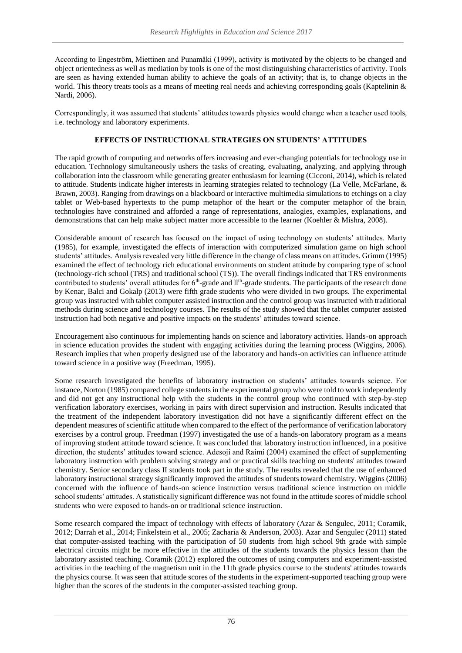According to Engeström, Miettinen and Punamäki (1999), activity is motivated by the objects to be changed and object orientedness as well as mediation by tools is one of the most distinguishing characteristics of activity. Tools are seen as having extended human ability to achieve the goals of an activity; that is, to change objects in the world. This theory treats tools as a means of meeting real needs and achieving corresponding goals (Kaptelinin & Nardi, 2006).

Correspondingly, it was assumed that students' attitudes towards physics would change when a teacher used tools, i.e. technology and laboratory experiments.

# **EFFECTS OF INSTRUCTIONAL STRATEGIES ON STUDENTS' ATTITUDES**

The rapid growth of computing and networks offers increasing and ever-changing potentials for technology use in education. Technology simultaneously ushers the tasks of creating, evaluating, analyzing, and applying through collaboration into the classroom while generating greater enthusiasm for learning (Cicconi, 2014), which is related to attitude. Students indicate higher interests in learning strategies related to technology (La Velle, McFarlane, & Brawn, 2003). Ranging from drawings on a blackboard or interactive multimedia simulations to etchings on a clay tablet or Web-based hypertexts to the pump metaphor of the heart or the computer metaphor of the brain, technologies have constrained and afforded a range of representations, analogies, examples, explanations, and demonstrations that can help make subject matter more accessible to the learner (Koehler & Mishra, 2008).

Considerable amount of research has focused on the impact of using technology on students' attitudes. Marty (1985), for example, investigated the effects of interaction with computerized simulation game on high school students' attitudes. Analysis revealed very little difference in the change of class means on attitudes. Grimm (1995) examined the effect of technology rich educational environments on student attitude by comparing type of school (technology-rich school (TRS) and traditional school (TS)). The overall findings indicated that TRS environments contributed to students' overall attitudes for 6<sup>th</sup>-grade and ll<sup>th</sup>-grade students. The participants of the research done by Kenar, Balci and Gokalp (2013) were fifth grade students who were divided in two groups. The experimental group was instructed with tablet computer assisted instruction and the control group was instructed with traditional methods during science and technology courses. The results of the study showed that the tablet computer assisted instruction had both negative and positive impacts on the students' attitudes toward science.

Encouragement also continuous for implementing hands on science and laboratory activities. Hands-on approach in science education provides the student with engaging activities during the learning process (Wiggins, 2006). Research implies that when properly designed use of the laboratory and hands-on activities can influence attitude toward science in a positive way (Freedman, 1995).

Some research investigated the benefits of laboratory instruction on students' attitudes towards science. For instance, Norton (1985) compared college students in the experimental group who were told to work independently and did not get any instructional help with the students in the control group who continued with step-by-step verification laboratory exercises, working in pairs with direct supervision and instruction. Results indicated that the treatment of the independent laboratory investigation did not have a significantly different effect on the dependent measures of scientific attitude when compared to the effect of the performance of verification laboratory exercises by a control group. Freedman (1997) investigated the use of a hands-on laboratory program as a means of improving student attitude toward science. It was concluded that laboratory instruction influenced, in a positive direction, the students' attitudes toward science. Adesoji and Raimi (2004) examined the effect of supplementing laboratory instruction with problem solving strategy and or practical skills teaching on students' attitudes toward chemistry. Senior secondary class II students took part in the study. The results revealed that the use of enhanced laboratory instructional strategy significantly improved the attitudes of students toward chemistry. Wiggins (2006) concerned with the influence of hands-on science instruction versus traditional science instruction on middle school students' attitudes. A statistically significant difference was not found in the attitude scores of middle school students who were exposed to hands-on or traditional science instruction.

Some research compared the impact of technology with effects of laboratory (Azar & Sengulec, 2011; Coramik, 2012; Darrah et al., 2014; Finkelstein et al., 2005; Zacharia & Anderson, 2003). Azar and Sengulec (2011) stated that computer-assisted teaching with the participation of 50 students from high school 9th grade with simple electrical circuits might be more effective in the attitudes of the students towards the physics lesson than the laboratory assisted teaching. Coramik (2012) explored the outcomes of using computers and experiment-assisted activities in the teaching of the magnetism unit in the 11th grade physics course to the students' attitudes towards the physics course. It was seen that attitude scores of the students in the experiment-supported teaching group were higher than the scores of the students in the computer-assisted teaching group.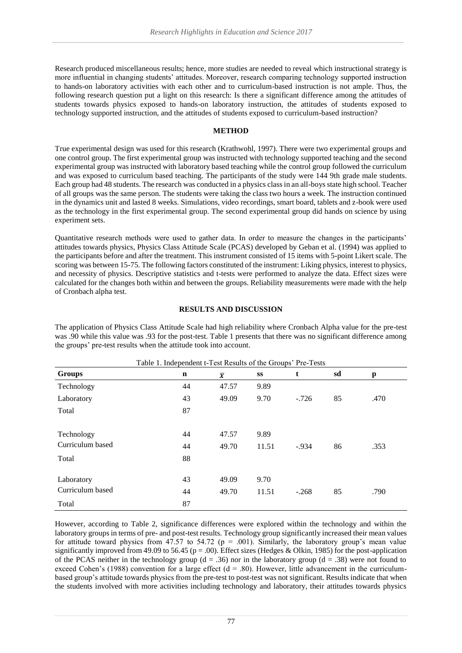Research produced miscellaneous results; hence, more studies are needed to reveal which instructional strategy is more influential in changing students' attitudes. Moreover, research comparing technology supported instruction to hands-on laboratory activities with each other and to curriculum-based instruction is not ample. Thus, the following research question put a light on this research: Is there a significant difference among the attitudes of students towards physics exposed to hands-on laboratory instruction, the attitudes of students exposed to technology supported instruction, and the attitudes of students exposed to curriculum-based instruction?

## **METHOD**

True experimental design was used for this research (Krathwohl, 1997). There were two experimental groups and one control group. The first experimental group was instructed with technology supported teaching and the second experimental group was instructed with laboratory based teaching while the control group followed the curriculum and was exposed to curriculum based teaching. The participants of the study were 144 9th grade male students. Each group had 48 students. The research was conducted in a physics class in an all-boys state high school. Teacher of all groups was the same person. The students were taking the class two hours a week. The instruction continued in the dynamics unit and lasted 8 weeks. Simulations, video recordings, smart board, tablets and z-book were used as the technology in the first experimental group. The second experimental group did hands on science by using experiment sets.

Quantitative research methods were used to gather data. In order to measure the changes in the participants' attitudes towards physics, Physics Class Attitude Scale (PCAS) developed by Geban et al. (1994) was applied to the participants before and after the treatment. This instrument consisted of 15 items with 5-point Likert scale. The scoring was between 15-75. The following factors constituted of the instrument: Liking physics, interest to physics, and necessity of physics. Descriptive statistics and t-tests were performed to analyze the data. Effect sizes were calculated for the changes both within and between the groups. Reliability measurements were made with the help of Cronbach alpha test.

## **RESULTS AND DISCUSSION**

The application of Physics Class Attitude Scale had high reliability where Cronbach Alpha value for the pre-test was .90 while this value was .93 for the post-test. Table 1 presents that there was no significant difference among the groups' pre-test results when the attitude took into account.

| Table 1. Independent t-Test Results of the Groups' Pre-Tests |    |                |       |         |    |      |
|--------------------------------------------------------------|----|----------------|-------|---------|----|------|
| <b>Groups</b>                                                | n  | $\overline{x}$ | SS    | t       | sd | p    |
| Technology                                                   | 44 | 47.57          | 9.89  |         |    |      |
| Laboratory                                                   | 43 | 49.09          | 9.70  | $-.726$ | 85 | .470 |
| Total                                                        | 87 |                |       |         |    |      |
|                                                              |    |                |       |         |    |      |
| Technology                                                   | 44 | 47.57          | 9.89  |         |    |      |
| Curriculum based                                             | 44 | 49.70          | 11.51 | $-.934$ | 86 | .353 |
| Total                                                        | 88 |                |       |         |    |      |
|                                                              |    |                |       |         |    |      |
| Laboratory                                                   | 43 | 49.09          | 9.70  |         |    |      |
| Curriculum based                                             | 44 | 49.70          | 11.51 | $-.268$ | 85 | .790 |
| Total                                                        | 87 |                |       |         |    |      |

However, according to Table 2, significance differences were explored within the technology and within the laboratory groups in terms of pre- and post-test results. Technology group significantly increased their mean values for attitude toward physics from 47.57 to 54.72 ( $p = .001$ ). Similarly, the laboratory group's mean value significantly improved from 49.09 to 56.45 (p = .00). Effect sizes (Hedges & Olkin, 1985) for the post-application of the PCAS neither in the technology group ( $d = .36$ ) nor in the laboratory group ( $d = .38$ ) were not found to exceed Cohen's (1988) convention for a large effect ( $d = .80$ ). However, little advancement in the curriculumbased group's attitude towards physics from the pre-test to post-test was not significant. Results indicate that when the students involved with more activities including technology and laboratory, their attitudes towards physics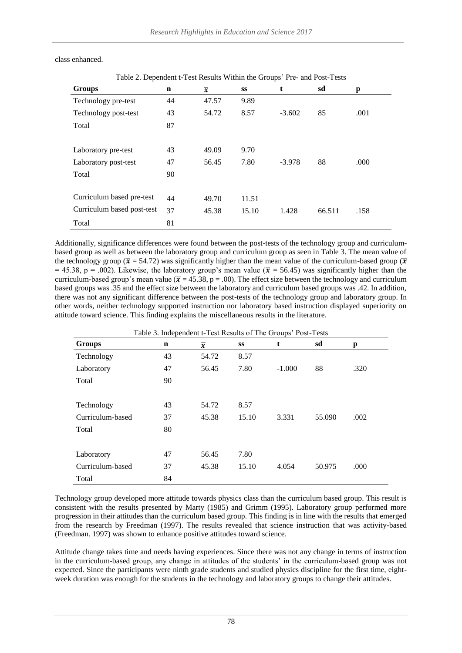| Table 2. Dependent t-Test Results Within the Groups' Pre- and Post-Tests |             |                |       |          |        |      |
|--------------------------------------------------------------------------|-------------|----------------|-------|----------|--------|------|
| <b>Groups</b>                                                            | $\mathbf n$ | $\overline{x}$ | SS    | t        | sd     | p    |
| Technology pre-test                                                      | 44          | 47.57          | 9.89  |          |        |      |
| Technology post-test                                                     | 43          | 54.72          | 8.57  | $-3.602$ | 85     | .001 |
| Total                                                                    | 87          |                |       |          |        |      |
|                                                                          |             |                |       |          |        |      |
| Laboratory pre-test                                                      | 43          | 49.09          | 9.70  |          |        |      |
| Laboratory post-test                                                     | 47          | 56.45          | 7.80  | $-3.978$ | 88     | .000 |
| Total                                                                    | 90          |                |       |          |        |      |
|                                                                          |             |                |       |          |        |      |
| Curriculum based pre-test                                                | 44          | 49.70          | 11.51 |          |        |      |
| Curriculum based post-test                                               | 37          | 45.38          | 15.10 | 1.428    | 66.511 | .158 |
| Total                                                                    | 81          |                |       |          |        |      |

class enhanced.

Additionally, significance differences were found between the post-tests of the technology group and curriculumbased group as well as between the laboratory group and curriculum group as seen in Table 3. The mean value of the technology group ( $\bar{x}$  = 54.72) was significantly higher than the mean value of the curriculum-based group ( $\bar{x}$ ) = 45.38, p = .002). Likewise, the laboratory group's mean value ( $\bar{x}$  = 56.45) was significantly higher than the curriculum-based group's mean value ( $\bar{x}$  = 45.38, p = .00). The effect size between the technology and curriculum based groups was .35 and the effect size between the laboratory and curriculum based groups was .42. In addition, there was not any significant difference between the post-tests of the technology group and laboratory group. In other words, neither technology supported instruction nor laboratory based instruction displayed superiority on attitude toward science. This finding explains the miscellaneous results in the literature.

| Table 3. Independent t-Test Results of The Groups' Post-Tests |             |                |       |          |        |      |  |
|---------------------------------------------------------------|-------------|----------------|-------|----------|--------|------|--|
| <b>Groups</b>                                                 | $\mathbf n$ | $\overline{x}$ | SS    | t        | sd     | p    |  |
| Technology                                                    | 43          | 54.72          | 8.57  |          |        |      |  |
| Laboratory                                                    | 47          | 56.45          | 7.80  | $-1.000$ | 88     | .320 |  |
| Total                                                         | 90          |                |       |          |        |      |  |
|                                                               |             |                |       |          |        |      |  |
| Technology                                                    | 43          | 54.72          | 8.57  |          |        |      |  |
| Curriculum-based                                              | 37          | 45.38          | 15.10 | 3.331    | 55.090 | .002 |  |
| Total                                                         | 80          |                |       |          |        |      |  |
|                                                               |             |                |       |          |        |      |  |
| Laboratory                                                    | 47          | 56.45          | 7.80  |          |        |      |  |
| Curriculum-based                                              | 37          | 45.38          | 15.10 | 4.054    | 50.975 | .000 |  |
| Total                                                         | 84          |                |       |          |        |      |  |

Technology group developed more attitude towards physics class than the curriculum based group. This result is consistent with the results presented by Marty (1985) and Grimm (1995). Laboratory group performed more progression in their attitudes than the curriculum based group. This finding is in line with the results that emerged from the research by Freedman (1997). The results revealed that science instruction that was activity-based (Freedman. 1997) was shown to enhance positive attitudes toward science.

Attitude change takes time and needs having experiences. Since there was not any change in terms of instruction in the curriculum-based group, any change in attitudes of the students' in the curriculum-based group was not expected. Since the participants were ninth grade students and studied physics discipline for the first time, eightweek duration was enough for the students in the technology and laboratory groups to change their attitudes.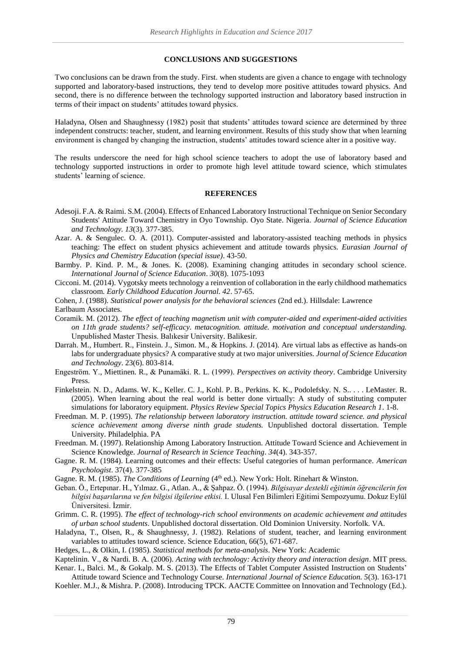#### **CONCLUSIONS AND SUGGESTIONS**

Two conclusions can be drawn from the study. First. when students are given a chance to engage with technology supported and laboratory-based instructions, they tend to develop more positive attitudes toward physics. And second, there is no difference between the technology supported instruction and laboratory based instruction in terms of their impact on students' attitudes toward physics.

Haladyna, Olsen and Shaughnessy (1982) posit that students' attitudes toward science are determined by three independent constructs: teacher, student, and learning environment. Results of this study show that when learning environment is changed by changing the instruction, students' attitudes toward science alter in a positive way.

The results underscore the need for high school science teachers to adopt the use of laboratory based and technology supported instructions in order to promote high level attitude toward science, which stimulates students' learning of science.

#### **REFERENCES**

- Adesoji. F.A. & Raimi. S.M. (2004). Effects of Enhanced Laboratory Instructional Technique on Senior Secondary Students' Attitude Toward Chemistry in Oyo Township. Oyo State. Nigeria. *Journal of Science Education and Technology. 13*(3). 377-385.
- Azar. A. & Sengulec. O. A. (2011). Computer-assisted and laboratory-assisted teaching methods in physics teaching: The effect on student physics achievement and attitude towards physics. *Eurasian Journal of Physics and Chemistry Education (special issue)*. 43-50.
- Barmby. P. Kind. P. M., & Jones. K. (2008). Examining changing attitudes in secondary school science. *International Journal of Science Education*. *30*(8). 1075-1093
- Cicconi. M. (2014). Vygotsky meets technology a reinvention of collaboration in the early childhood mathematics classroom. *Early Childhood Education Journal. 42*. 57-65.
- Cohen, J. (1988). *Statistical power analysis for the behavioral sciences* (2nd ed.). Hillsdale: Lawrence Earlbaum Associates.
- Coramik. M. (2012). *The effect of teaching magnetism unit with computer-aided and experiment-aided activities on 11th grade students? self-efficacy. metacognition. attitude. motivation and conceptual understanding.*  Unpublished Master Thesis. Balıkesir University. Balikesir.
- Darrah. M., Humbert. R., Finstein. J., Simon. M., & Hopkins. J. (2014). Are virtual labs as effective as hands-on labs for undergraduate physics? A comparative study at two major universities. *Journal of Science Education and Technology*. 23(6). 803-814.
- Engeström. Y., Miettinen. R., & Punamäki. R. L. (1999). *Perspectives on activity theory*. Cambridge University Press.
- Finkelstein. N. D., Adams. W. K., Keller. C. J., Kohl. P. B., Perkins. K. K., Podolefsky. N. S.. . . . LeMaster. R. (2005). When learning about the real world is better done virtually: A study of substituting computer simulations for laboratory equipment. *Physics Review Special Topics Physics Education Research 1*. 1-8.
- Freedman. M. P. (1995). *The relationship between laboratory instruction. attitude toward science. and physical science achievement among diverse ninth grade students.* Unpublished doctoral dissertation. Temple University. Philadelphia. PA
- Freedman. M. (1997). Relationship Among Laboratory Instruction. Attitude Toward Science and Achievement in Science Knowledge. *Journal of Research in Science Teaching*. *34*(4). 343-357.
- Gagne. R. M. (1984). Learning outcomes and their effects: Useful categories of human performance. *American Psychologist*. 37(4). 377-385
- Gagne. R. M. (1985). *The Conditions of Learning* (4<sup>th</sup> ed.). New York: Holt. Rinehart & Winston.
- Geban. Ö., Ertepınar. H., Yılmaz. G., Atlan. A., & Şahpaz. Ö. (1994). *Bilgisayar destekli eğitimin öğrencilerin fen bilgisi başarılarına ve fen bilgisi ilgilerine etkisi.* I. Ulusal Fen Bilimleri Eğitimi Sempozyumu. Dokuz Eylül Üniversitesi. İzmir.
- Grimm. C. R. (1995). *The effect of technology-rich school environments on academic achievement and attitudes of urban school students*. Unpublished doctoral dissertation. Old Dominion University. Norfolk. VA.
- Haladyna, T., Olsen, R., & Shaughnessy, J. (1982). Relations of student, teacher, and learning environment variables to attitudes toward science. Science Education, 66(5), 671-687.
- Hedges, L., & Olkin, I. (1985). *Statistical methods for meta-analysis*. New York: Academic

Kaptelinin. V., & Nardi. B. A. (2006). *Acting with technology: Activity theory and interaction design*. MIT press. Kenar. I., Balci. M., & Gokalp. M. S. (2013). The Effects of Tablet Computer Assisted Instruction on Students'

Attitude toward Science and Technology Course. *International Journal of Science Education. 5*(3). 163-171 Koehler. M.J., & Mishra. P. (2008). Introducing TPCK. AACTE Committee on Innovation and Technology (Ed.).